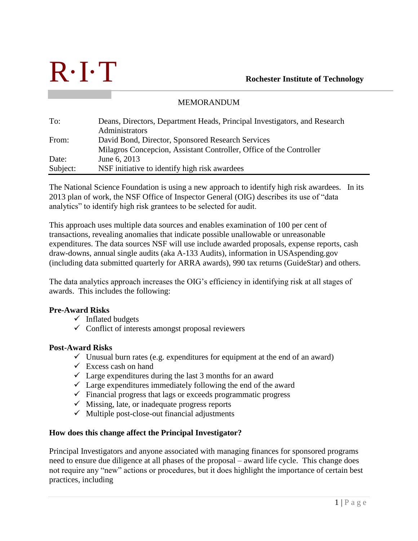

# MEMORANDUM

| To:      | Deans, Directors, Department Heads, Principal Investigators, and Research |
|----------|---------------------------------------------------------------------------|
|          | Administrators                                                            |
| From:    | David Bond, Director, Sponsored Research Services                         |
|          | Milagros Concepcion, Assistant Controller, Office of the Controller       |
| Date:    | June 6, 2013                                                              |
| Subject: | NSF initiative to identify high risk awardees                             |

The National Science Foundation is using a new approach to identify high risk awardees. In its 2013 plan of work, the NSF Office of Inspector General (OIG) describes its use of "data analytics" to identify high risk grantees to be selected for audit.

This approach uses multiple data sources and enables examination of 100 per cent of transactions, revealing anomalies that indicate possible unallowable or unreasonable expenditures. The data sources NSF will use include awarded proposals, expense reports, cash draw-downs, annual single audits (aka A-133 Audits), information in USAspending.gov (including data submitted quarterly for ARRA awards), 990 tax returns (GuideStar) and others.

The data analytics approach increases the OIG's efficiency in identifying risk at all stages of awards. This includes the following:

# **Pre-Award Risks**

- $\checkmark$  Inflated budgets
- $\checkmark$  Conflict of interests amongst proposal reviewers

## **Post-Award Risks**

- $\checkmark$  Unusual burn rates (e.g. expenditures for equipment at the end of an award)
- $\checkmark$  Excess cash on hand
- $\checkmark$  Large expenditures during the last 3 months for an award
- $\checkmark$  Large expenditures immediately following the end of the award
- $\checkmark$  Financial progress that lags or exceeds programmatic progress
- $\checkmark$  Missing, late, or inadequate progress reports
- $\checkmark$  Multiple post-close-out financial adjustments

## **How does this change affect the Principal Investigator?**

Principal Investigators and anyone associated with managing finances for sponsored programs need to ensure due diligence at all phases of the proposal – award life cycle. This change does not require any "new" actions or procedures, but it does highlight the importance of certain best practices, including